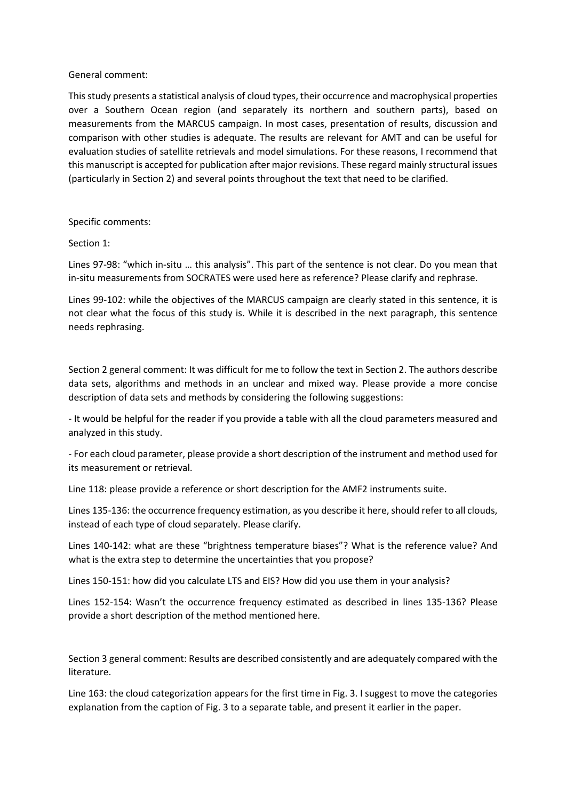General comment:

This study presents a statistical analysis of cloud types, their occurrence and macrophysical properties over a Southern Ocean region (and separately its northern and southern parts), based on measurements from the MARCUS campaign. In most cases, presentation of results, discussion and comparison with other studies is adequate. The results are relevant for AMT and can be useful for evaluation studies of satellite retrievals and model simulations. For these reasons, I recommend that this manuscript is accepted for publication after major revisions. These regard mainly structural issues (particularly in Section 2) and several points throughout the text that need to be clarified.

Specific comments:

Section 1:

Lines 97-98: "which in-situ … this analysis". This part of the sentence is not clear. Do you mean that in-situ measurements from SOCRATES were used here as reference? Please clarify and rephrase.

Lines 99-102: while the objectives of the MARCUS campaign are clearly stated in this sentence, it is not clear what the focus of this study is. While it is described in the next paragraph, this sentence needs rephrasing.

Section 2 general comment: It was difficult for me to follow the text in Section 2. The authors describe data sets, algorithms and methods in an unclear and mixed way. Please provide a more concise description of data sets and methods by considering the following suggestions:

- It would be helpful for the reader if you provide a table with all the cloud parameters measured and analyzed in this study.

- For each cloud parameter, please provide a short description of the instrument and method used for its measurement or retrieval.

Line 118: please provide a reference or short description for the AMF2 instruments suite.

Lines 135-136: the occurrence frequency estimation, as you describe it here, should refer to all clouds, instead of each type of cloud separately. Please clarify.

Lines 140-142: what are these "brightness temperature biases"? What is the reference value? And what is the extra step to determine the uncertainties that you propose?

Lines 150-151: how did you calculate LTS and EIS? How did you use them in your analysis?

Lines 152-154: Wasn't the occurrence frequency estimated as described in lines 135-136? Please provide a short description of the method mentioned here.

Section 3 general comment: Results are described consistently and are adequately compared with the literature.

Line 163: the cloud categorization appears for the first time in Fig. 3. I suggest to move the categories explanation from the caption of Fig. 3 to a separate table, and present it earlier in the paper.